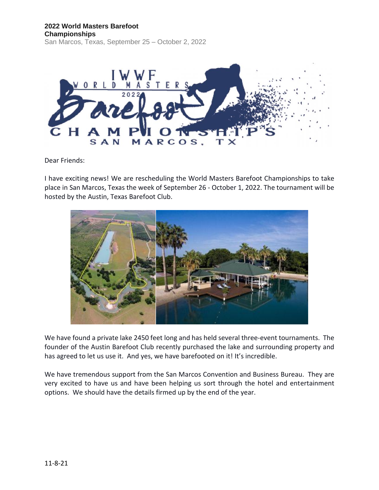#### **2022 World Masters Barefoot Championships** San Marcos, Texas, September 25 – October 2, 2022



Dear Friends:

I have exciting news! We are rescheduling the World Masters Barefoot Championships to take place in San Marcos, Texas the week of September 26 - October 1, 2022. The tournament will be hosted by the Austin, Texas Barefoot Club.



We have found a private lake 2450 feet long and has held several three-event tournaments. The founder of the Austin Barefoot Club recently purchased the lake and surrounding property and has agreed to let us use it. And yes, we have barefooted on it! It's incredible.

We have tremendous support from the San Marcos Convention and Business Bureau. They are very excited to have us and have been helping us sort through the hotel and entertainment options. We should have the details firmed up by the end of the year.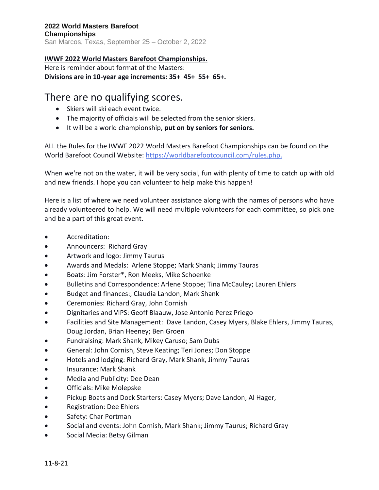# **IWWF 2022 World Masters Barefoot Championships.**

Here is reminder about format of the Masters: **Divisions are in 10-year age increments: 35+ 45+ 55+ 65+.**

# There are no qualifying scores.

- Skiers will ski each event twice.
- The majority of officials will be selected from the senior skiers.
- It will be a world championship, **put on by seniors for seniors.**

ALL the Rules for the IWWF 2022 World Masters Barefoot Championships can be found on the World Barefoot Council Website: [https://worldbarefootcouncil.com/rules.php.](https://worldbarefootcouncil.com/rules.php)

When we're not on the water, it will be very social, fun with plenty of time to catch up with old and new friends. I hope you can volunteer to help make this happen!

Here is a list of where we need volunteer assistance along with the names of persons who have already volunteered to help. We will need multiple volunteers for each committee, so pick one and be a part of this great event.

- Accreditation:
- Announcers: Richard Gray
- Artwork and logo: Jimmy Taurus
- Awards and Medals: Arlene Stoppe; Mark Shank; Jimmy Tauras
- Boats: Jim Forster\*, Ron Meeks, Mike Schoenke
- Bulletins and Correspondence: Arlene Stoppe; Tina McCauley; Lauren Ehlers
- Budget and finances:, Claudia Landon, Mark Shank
- Ceremonies: Richard Gray, John Cornish
- Dignitaries and VIPS: Geoff Blaauw, Jose Antonio Perez Priego
- Facilities and Site Management: Dave Landon, Casey Myers, Blake Ehlers, Jimmy Tauras, Doug Jordan, Brian Heeney; Ben Groen
- Fundraising: Mark Shank, Mikey Caruso; Sam Dubs
- General: John Cornish, Steve Keating; Teri Jones; Don Stoppe
- Hotels and lodging: Richard Gray, Mark Shank, Jimmy Tauras
- Insurance: Mark Shank
- Media and Publicity: Dee Dean
- Officials: Mike Molepske
- Pickup Boats and Dock Starters: Casey Myers; Dave Landon, Al Hager,
- Registration: Dee Ehlers
- Safety: Char Portman
- Social and events: John Cornish, Mark Shank; Jimmy Taurus; Richard Gray
- Social Media: Betsy Gilman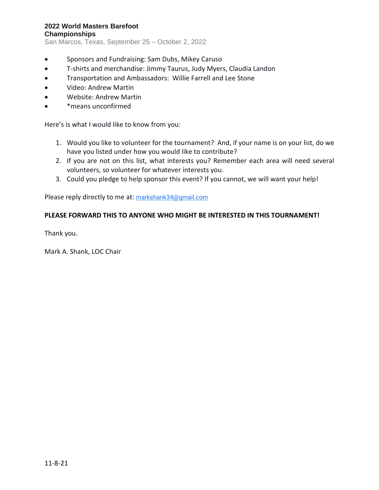## **2022 World Masters Barefoot Championships**

San Marcos, Texas, September 25 – October 2, 2022

- Sponsors and Fundraising: Sam Dubs, Mikey Caruso
- T-shirts and merchandise: Jimmy Taurus, Judy Myers, Claudia Landon
- Transportation and Ambassadors: Willie Farrell and Lee Stone
- Video: Andrew Martin
- Website: Andrew Martin
- \*means unconfirmed

Here's is what I would like to know from you:

- 1. Would you like to volunteer for the tournament? And, if your name is on your list, do we have you listed under how you would like to contribute?
- 2. If you are not on this list, what interests you? Remember each area will need several volunteers, so volunteer for whatever interests you.
- 3. Could you pledge to help sponsor this event? If you cannot, we will want your help!

Please reply directly to me at: [markshank34@gmail.com](mailto:markshank34@gmail.com)

### **PLEASE FORWARD THIS TO ANYONE WHO MIGHT BE INTERESTED IN THIS TOURNAMENT!**

Thank you.

Mark A. Shank, LOC Chair